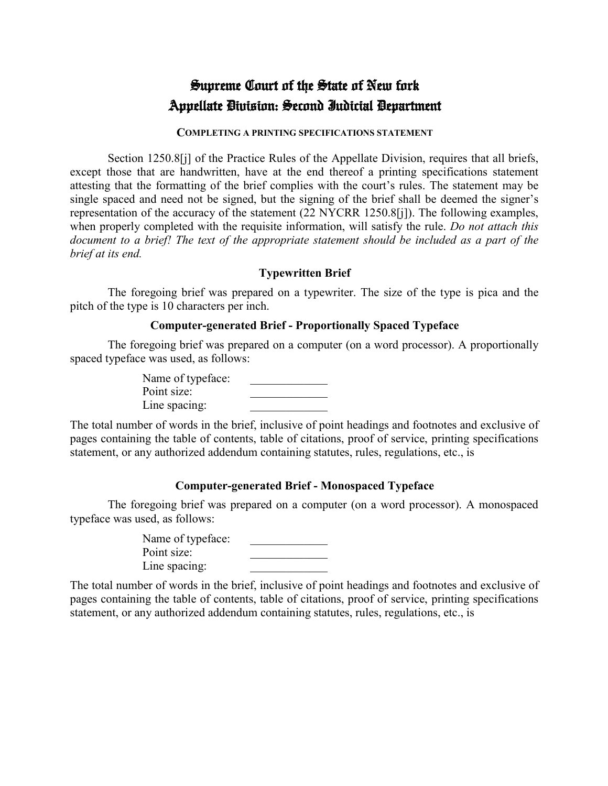# Supreme Court of the State of New fork Appellate Division: Second Judicial Department

#### **COMPLETING A PRINTING SPECIFICATIONS STATEMENT**

Section 1250.8[j] of the Practice Rules of the Appellate Division, requires that all briefs, except those that are handwritten, have at the end thereof a printing specifications statement attesting that the formatting of the brief complies with the court's rules. The statement may be single spaced and need not be signed, but the signing of the brief shall be deemed the signer's representation of the accuracy of the statement (22 NYCRR 1250.8[j]). The following examples, when properly completed with the requisite information, will satisfy the rule. *Do not attach this document to a brief! The text of the appropriate statement should be included as a part of the brief at its end.*

## **Typewritten Brief**

The foregoing brief was prepared on a typewriter. The size of the type is pica and the pitch of the type is 10 characters per inch.

#### **Computer-generated Brief - Proportionally Spaced Typeface**

The foregoing brief was prepared on a computer (on a word processor). A proportionally spaced typeface was used, as follows:

> Name of typeface: Point size: Line spacing:

The total number of words in the brief, inclusive of point headings and footnotes and exclusive of pages containing the table of contents, table of citations, proof of service, printing specifications statement, or any authorized addendum containing statutes, rules, regulations, etc., is

## **Computer-generated Brief - Monospaced Typeface**

The foregoing brief was prepared on a computer (on a word processor). A monospaced typeface was used, as follows:

> Name of typeface: Point size: Line spacing:

The total number of words in the brief, inclusive of point headings and footnotes and exclusive of pages containing the table of contents, table of citations, proof of service, printing specifications statement, or any authorized addendum containing statutes, rules, regulations, etc., is